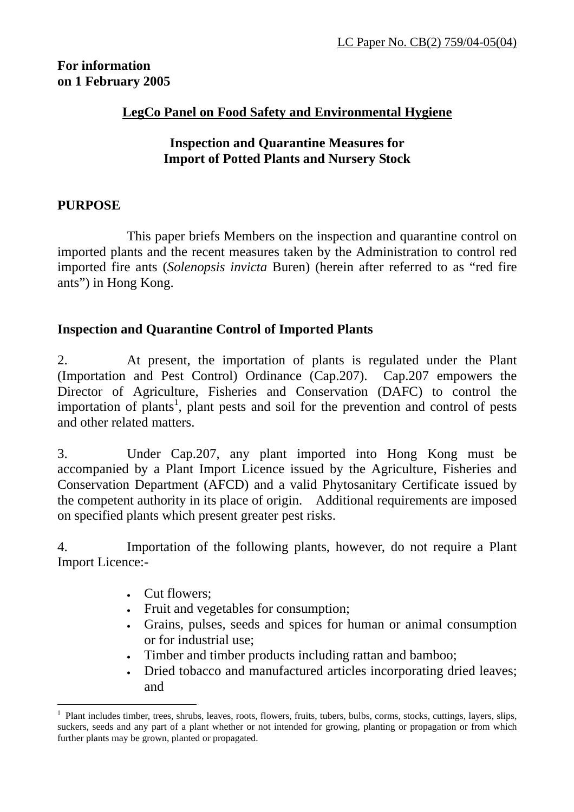## **For information on 1 February 2005**

### **LegCo Panel on Food Safety and Environmental Hygiene**

## **Inspection and Quarantine Measures for Import of Potted Plants and Nursery Stock**

#### **PURPOSE**

 $\overline{a}$ 

 This paper briefs Members on the inspection and quarantine control on imported plants and the recent measures taken by the Administration to control red imported fire ants (*Solenopsis invicta* Buren) (herein after referred to as "red fire ants") in Hong Kong.

## **Inspection and Quarantine Control of Imported Plants**

2. At present, the importation of plants is regulated under the Plant (Importation and Pest Control) Ordinance (Cap.207). Cap.207 empowers the Director of Agriculture, Fisheries and Conservation (DAFC) to control the importation of plants<sup>1</sup>, plant pests and soil for the prevention and control of pests and other related matters.

3. Under Cap.207, any plant imported into Hong Kong must be accompanied by a Plant Import Licence issued by the Agriculture, Fisheries and Conservation Department (AFCD) and a valid Phytosanitary Certificate issued by the competent authority in its place of origin. Additional requirements are imposed on specified plants which present greater pest risks.

4. Importation of the following plants, however, do not require a Plant Import Licence:-

- Cut flowers:
- Fruit and vegetables for consumption;
- Grains, pulses, seeds and spices for human or animal consumption or for industrial use;
- Timber and timber products including rattan and bamboo;
- Dried tobacco and manufactured articles incorporating dried leaves; and

<sup>1</sup> Plant includes timber, trees, shrubs, leaves, roots, flowers, fruits, tubers, bulbs, corms, stocks, cuttings, layers, slips, suckers, seeds and any part of a plant whether or not intended for growing, planting or propagation or from which further plants may be grown, planted or propagated.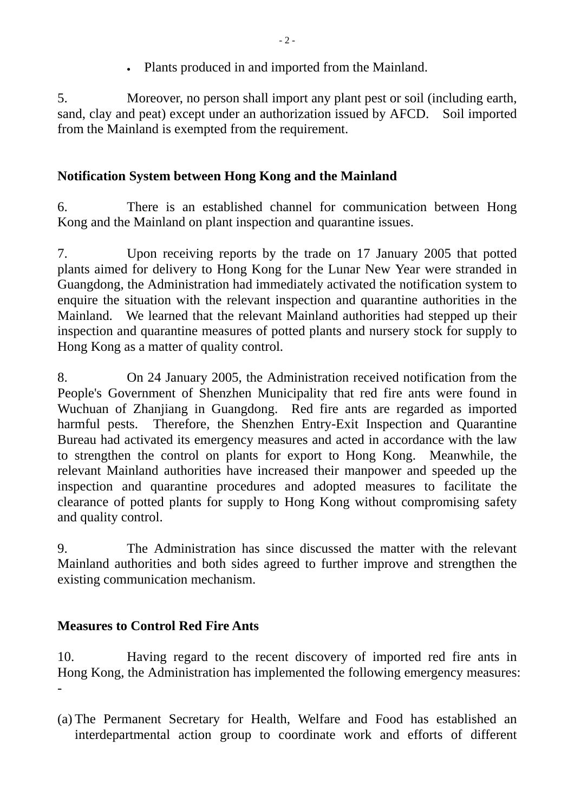• Plants produced in and imported from the Mainland.

5. Moreover, no person shall import any plant pest or soil (including earth, sand, clay and peat) except under an authorization issued by AFCD. Soil imported from the Mainland is exempted from the requirement.

# **Notification System between Hong Kong and the Mainland**

6. There is an established channel for communication between Hong Kong and the Mainland on plant inspection and quarantine issues.

7. Upon receiving reports by the trade on 17 January 2005 that potted plants aimed for delivery to Hong Kong for the Lunar New Year were stranded in Guangdong, the Administration had immediately activated the notification system to enquire the situation with the relevant inspection and quarantine authorities in the Mainland. We learned that the relevant Mainland authorities had stepped up their inspection and quarantine measures of potted plants and nursery stock for supply to Hong Kong as a matter of quality control.

8. On 24 January 2005, the Administration received notification from the People's Government of Shenzhen Municipality that red fire ants were found in Wuchuan of Zhanjiang in Guangdong. Red fire ants are regarded as imported harmful pests. Therefore, the Shenzhen Entry-Exit Inspection and Quarantine Bureau had activated its emergency measures and acted in accordance with the law to strengthen the control on plants for export to Hong Kong. Meanwhile, the relevant Mainland authorities have increased their manpower and speeded up the inspection and quarantine procedures and adopted measures to facilitate the clearance of potted plants for supply to Hong Kong without compromising safety and quality control.

9. The Administration has since discussed the matter with the relevant Mainland authorities and both sides agreed to further improve and strengthen the existing communication mechanism.

# **Measures to Control Red Fire Ants**

10. Having regard to the recent discovery of imported red fire ants in Hong Kong, the Administration has implemented the following emergency measures: -

(a) The Permanent Secretary for Health, Welfare and Food has established an interdepartmental action group to coordinate work and efforts of different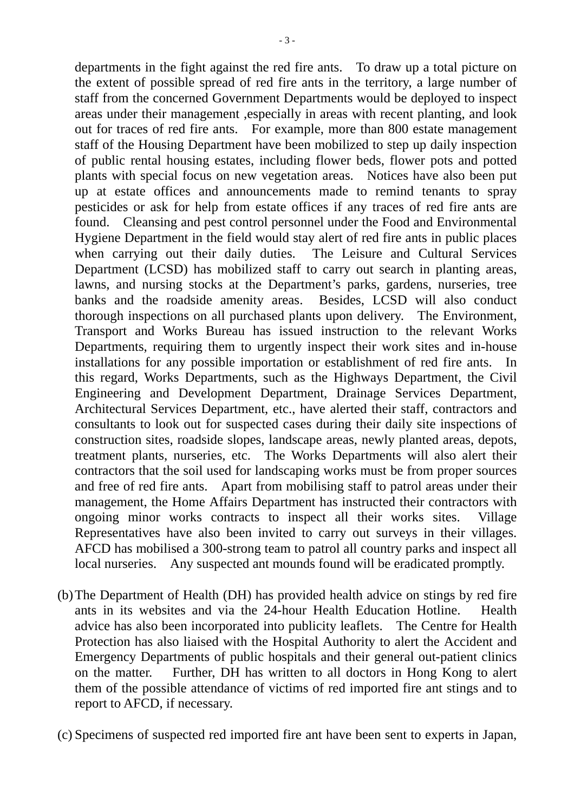departments in the fight against the red fire ants. To draw up a total picture on the extent of possible spread of red fire ants in the territory, a large number of staff from the concerned Government Departments would be deployed to inspect areas under their management ,especially in areas with recent planting, and look out for traces of red fire ants. For example, more than 800 estate management staff of the Housing Department have been mobilized to step up daily inspection of public rental housing estates, including flower beds, flower pots and potted plants with special focus on new vegetation areas. Notices have also been put up at estate offices and announcements made to remind tenants to spray pesticides or ask for help from estate offices if any traces of red fire ants are found. Cleansing and pest control personnel under the Food and Environmental Hygiene Department in the field would stay alert of red fire ants in public places when carrying out their daily duties. The Leisure and Cultural Services Department (LCSD) has mobilized staff to carry out search in planting areas, lawns, and nursing stocks at the Department's parks, gardens, nurseries, tree banks and the roadside amenity areas. Besides, LCSD will also conduct thorough inspections on all purchased plants upon delivery. The Environment, Transport and Works Bureau has issued instruction to the relevant Works Departments, requiring them to urgently inspect their work sites and in-house installations for any possible importation or establishment of red fire ants. In this regard, Works Departments, such as the Highways Department, the Civil Engineering and Development Department, Drainage Services Department, Architectural Services Department, etc., have alerted their staff, contractors and consultants to look out for suspected cases during their daily site inspections of construction sites, roadside slopes, landscape areas, newly planted areas, depots, treatment plants, nurseries, etc. The Works Departments will also alert their contractors that the soil used for landscaping works must be from proper sources and free of red fire ants. Apart from mobilising staff to patrol areas under their management, the Home Affairs Department has instructed their contractors with ongoing minor works contracts to inspect all their works sites. Village Representatives have also been invited to carry out surveys in their villages. AFCD has mobilised a 300-strong team to patrol all country parks and inspect all local nurseries. Any suspected ant mounds found will be eradicated promptly.

- (b)The Department of Health (DH) has provided health advice on stings by red fire ants in its websites and via the 24-hour Health Education Hotline. Health advice has also been incorporated into publicity leaflets. The Centre for Health Protection has also liaised with the Hospital Authority to alert the Accident and Emergency Departments of public hospitals and their general out-patient clinics on the matter. Further, DH has written to all doctors in Hong Kong to alert them of the possible attendance of victims of red imported fire ant stings and to report to AFCD, if necessary.
- (c) Specimens of suspected red imported fire ant have been sent to experts in Japan,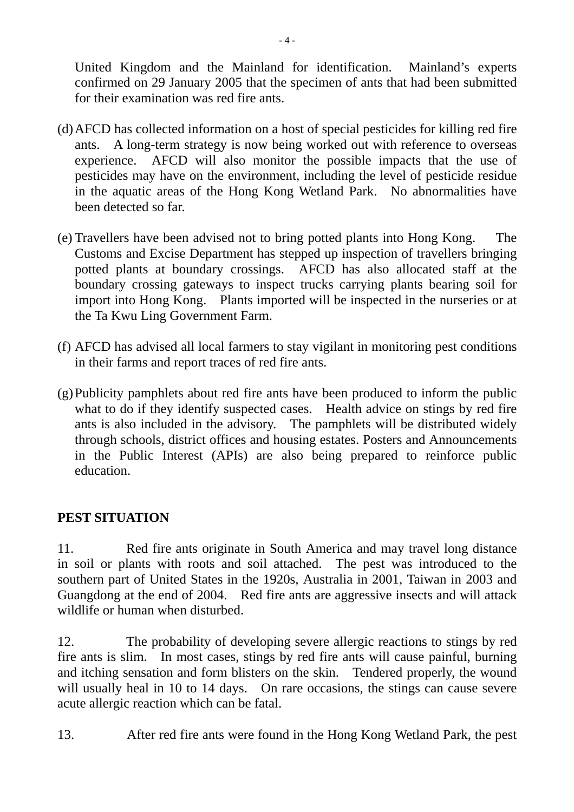United Kingdom and the Mainland for identification. Mainland's experts confirmed on 29 January 2005 that the specimen of ants that had been submitted for their examination was red fire ants.

- (d)AFCD has collected information on a host of special pesticides for killing red fire ants. A long-term strategy is now being worked out with reference to overseas experience. AFCD will also monitor the possible impacts that the use of pesticides may have on the environment, including the level of pesticide residue in the aquatic areas of the Hong Kong Wetland Park. No abnormalities have been detected so far.
- (e) Travellers have been advised not to bring potted plants into Hong Kong. The Customs and Excise Department has stepped up inspection of travellers bringing potted plants at boundary crossings. AFCD has also allocated staff at the boundary crossing gateways to inspect trucks carrying plants bearing soil for import into Hong Kong. Plants imported will be inspected in the nurseries or at the Ta Kwu Ling Government Farm.
- (f) AFCD has advised all local farmers to stay vigilant in monitoring pest conditions in their farms and report traces of red fire ants.
- (g)Publicity pamphlets about red fire ants have been produced to inform the public what to do if they identify suspected cases. Health advice on stings by red fire ants is also included in the advisory. The pamphlets will be distributed widely through schools, district offices and housing estates. Posters and Announcements in the Public Interest (APIs) are also being prepared to reinforce public education.

# **PEST SITUATION**

11. Red fire ants originate in South America and may travel long distance in soil or plants with roots and soil attached. The pest was introduced to the southern part of United States in the 1920s, Australia in 2001, Taiwan in 2003 and Guangdong at the end of 2004. Red fire ants are aggressive insects and will attack wildlife or human when disturbed.

12. The probability of developing severe allergic reactions to stings by red fire ants is slim. In most cases, stings by red fire ants will cause painful, burning and itching sensation and form blisters on the skin. Tendered properly, the wound will usually heal in 10 to 14 days. On rare occasions, the stings can cause severe acute allergic reaction which can be fatal.

13. After red fire ants were found in the Hong Kong Wetland Park, the pest